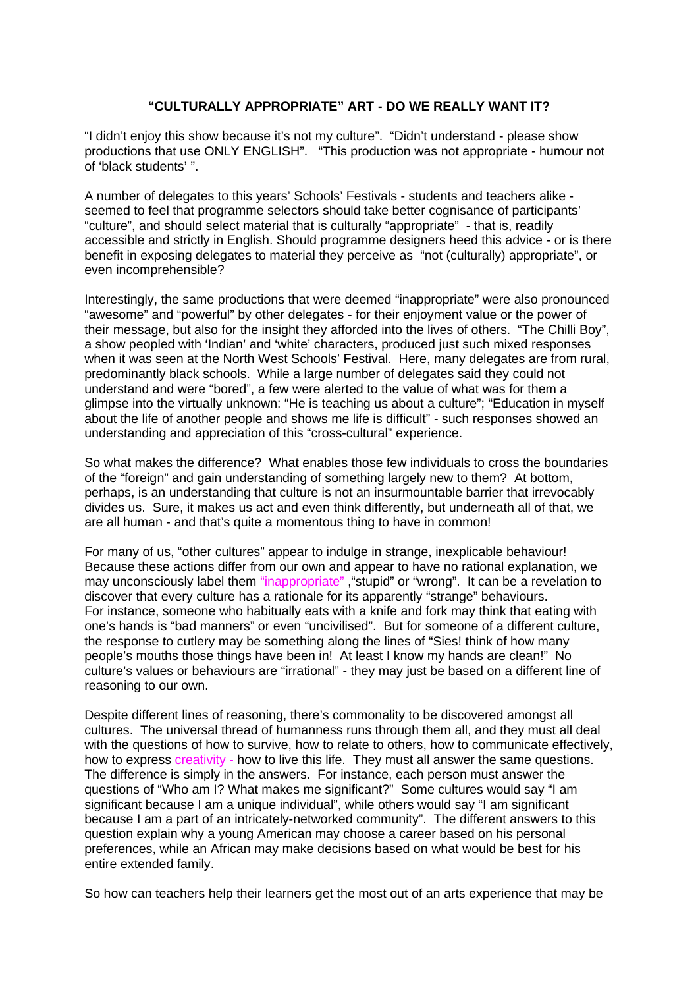## **"CULTURALLY APPROPRIATE" ART - DO WE REALLY WANT IT?**

"I didn't enjoy this show because it's not my culture". "Didn't understand - please show productions that use ONLY ENGLISH". "This production was not appropriate - humour not of 'black students' ".

A number of delegates to this years' Schools' Festivals - students and teachers alike seemed to feel that programme selectors should take better cognisance of participants' "culture", and should select material that is culturally "appropriate" - that is, readily accessible and strictly in English. Should programme designers heed this advice - or is there benefit in exposing delegates to material they perceive as "not (culturally) appropriate", or even incomprehensible?

Interestingly, the same productions that were deemed "inappropriate" were also pronounced "awesome" and "powerful" by other delegates - for their enjoyment value or the power of their message, but also for the insight they afforded into the lives of others. "The Chilli Boy", a show peopled with 'Indian' and 'white' characters, produced just such mixed responses when it was seen at the North West Schools' Festival. Here, many delegates are from rural, predominantly black schools. While a large number of delegates said they could not understand and were "bored", a few were alerted to the value of what was for them a glimpse into the virtually unknown: "He is teaching us about a culture"; "Education in myself about the life of another people and shows me life is difficult" - such responses showed an understanding and appreciation of this "cross-cultural" experience.

So what makes the difference? What enables those few individuals to cross the boundaries of the "foreign" and gain understanding of something largely new to them? At bottom, perhaps, is an understanding that culture is not an insurmountable barrier that irrevocably divides us. Sure, it makes us act and even think differently, but underneath all of that, we are all human - and that's quite a momentous thing to have in common!

For many of us, "other cultures" appear to indulge in strange, inexplicable behaviour! Because these actions differ from our own and appear to have no rational explanation, we may unconsciously label them "inappropriate", "stupid" or "wrong". It can be a revelation to discover that every culture has a rationale for its apparently "strange" behaviours. For instance, someone who habitually eats with a knife and fork may think that eating with one's hands is "bad manners" or even "uncivilised". But for someone of a different culture, the response to cutlery may be something along the lines of "Sies! think of how many people's mouths those things have been in! At least I know my hands are clean!" No culture's values or behaviours are "irrational" - they may just be based on a different line of reasoning to our own.

Despite different lines of reasoning, there's commonality to be discovered amongst all cultures. The universal thread of humanness runs through them all, and they must all deal with the questions of how to survive, how to relate to others, how to communicate effectively, how to express creativity - how to live this life. They must all answer the same questions. The difference is simply in the answers. For instance, each person must answer the questions of "Who am I? What makes me significant?" Some cultures would say "I am significant because I am a unique individual", while others would say "I am significant because I am a part of an intricately-networked community". The different answers to this question explain why a young American may choose a career based on his personal preferences, while an African may make decisions based on what would be best for his entire extended family.

So how can teachers help their learners get the most out of an arts experience that may be